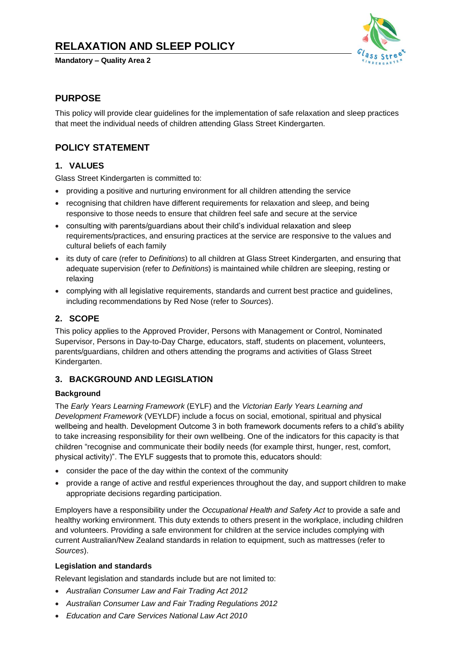# **RELAXATION AND SLEEP POLICY**

**Mandatory – Quality Area 2**



## **PURPOSE**

This policy will provide clear guidelines for the implementation of safe relaxation and sleep practices that meet the individual needs of children attending Glass Street Kindergarten.

# **POLICY STATEMENT**

### **1. VALUES**

Glass Street Kindergarten is committed to:

- providing a positive and nurturing environment for all children attending the service
- recognising that children have different requirements for relaxation and sleep, and being responsive to those needs to ensure that children feel safe and secure at the service
- consulting with parents/guardians about their child's individual relaxation and sleep requirements/practices, and ensuring practices at the service are responsive to the values and cultural beliefs of each family
- its duty of care (refer to *Definitions*) to all children at Glass Street Kindergarten, and ensuring that adequate supervision (refer to *Definitions*) is maintained while children are sleeping, resting or relaxing
- complying with all legislative requirements, standards and current best practice and guidelines, including recommendations by Red Nose (refer to *Sources*).

### **2. SCOPE**

This policy applies to the Approved Provider, Persons with Management or Control, Nominated Supervisor, Persons in Day-to-Day Charge, educators, staff, students on placement, volunteers, parents/guardians, children and others attending the programs and activities of Glass Street Kindergarten.

## **3. BACKGROUND AND LEGISLATION**

#### **Background**

The *Early Years Learning Framework* (EYLF) and the *Victorian Early Years Learning and Development Framework* (VEYLDF) include a focus on social, emotional, spiritual and physical wellbeing and health. Development Outcome 3 in both framework documents refers to a child's ability to take increasing responsibility for their own wellbeing. One of the indicators for this capacity is that children "recognise and communicate their bodily needs (for example thirst, hunger, rest, comfort, physical activity)". The EYLF suggests that to promote this, educators should:

- consider the pace of the day within the context of the community
- provide a range of active and restful experiences throughout the day, and support children to make appropriate decisions regarding participation.

Employers have a responsibility under the *Occupational Health and Safety Act* to provide a safe and healthy working environment. This duty extends to others present in the workplace, including children and volunteers. Providing a safe environment for children at the service includes complying with current Australian/New Zealand standards in relation to equipment, such as mattresses (refer to *Sources*).

#### **Legislation and standards**

Relevant legislation and standards include but are not limited to:

- *Australian Consumer Law and Fair Trading Act 2012*
- *Australian Consumer Law and Fair Trading Regulations 2012*
- *Education and Care Services National Law Act 2010*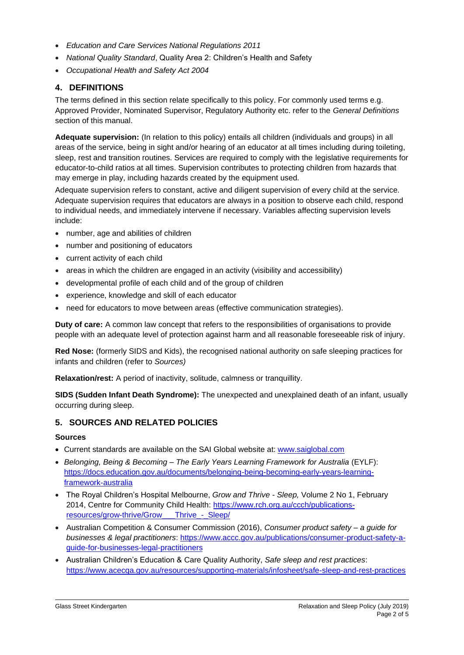- *Education and Care Services National Regulations 2011*
- *National Quality Standard*, Quality Area 2: Children's Health and Safety
- *Occupational Health and Safety Act 2004*

### **4. DEFINITIONS**

The terms defined in this section relate specifically to this policy. For commonly used terms e.g. Approved Provider, Nominated Supervisor, Regulatory Authority etc. refer to the *General Definitions* section of this manual.

**Adequate supervision:** (In relation to this policy) entails all children (individuals and groups) in all areas of the service, being in sight and/or hearing of an educator at all times including during toileting, sleep, rest and transition routines. Services are required to comply with the legislative requirements for educator-to-child ratios at all times. Supervision contributes to protecting children from hazards that may emerge in play, including hazards created by the equipment used.

Adequate supervision refers to constant, active and diligent supervision of every child at the service. Adequate supervision requires that educators are always in a position to observe each child, respond to individual needs, and immediately intervene if necessary. Variables affecting supervision levels include:

- number, age and abilities of children
- number and positioning of educators
- current activity of each child
- areas in which the children are engaged in an activity (visibility and accessibility)
- developmental profile of each child and of the group of children
- experience, knowledge and skill of each educator
- need for educators to move between areas (effective communication strategies).

**Duty of care:** A common law concept that refers to the responsibilities of organisations to provide people with an adequate level of protection against harm and all reasonable foreseeable risk of injury.

**Red Nose:** (formerly SIDS and Kids), the recognised national authority on safe sleeping practices for infants and children (refer to *Sources)*

**Relaxation/rest:** A period of inactivity, solitude, calmness or tranquillity.

**SIDS (Sudden Infant Death Syndrome):** The unexpected and unexplained death of an infant, usually occurring during sleep.

# **5. SOURCES AND RELATED POLICIES**

#### **Sources**

- Current standards are available on the SAI Global website at: [www.saiglobal.com](http://www.saiglobal.com/)
- *Belonging, Being & Becoming – The Early Years Learning Framework for Australia* (EYLF): [https://docs.education.gov.au/documents/belonging-being-becoming-early-years-learning](https://docs.education.gov.au/documents/belonging-being-becoming-early-years-learning-framework-australia)[framework-australia](https://docs.education.gov.au/documents/belonging-being-becoming-early-years-learning-framework-australia)
- The Royal Children's Hospital Melbourne, *Grow and Thrive - Sleep,* Volume 2 No 1, February 2014, Centre for Community Child Health: [https://www.rch.org.au/ccch/publications](https://www.rch.org.au/ccch/publications-resources/grow-thrive/Grow___Thrive_-_Sleep/)resources/grow-thrive/Grow Thrive - Sleep/
- Australian Competition & Consumer Commission (2016), *Consumer product safety – a guide for businesses & legal practitioners*: [https://www.accc.gov.au/publications/consumer-product-safety-a](https://www.accc.gov.au/publications/consumer-product-safety-a-guide-for-businesses-legal-practitioners)[guide-for-businesses-legal-practitioners](https://www.accc.gov.au/publications/consumer-product-safety-a-guide-for-businesses-legal-practitioners)
- Australian Children's Education & Care Quality Authority, *Safe sleep and rest practices*: <https://www.acecqa.gov.au/resources/supporting-materials/infosheet/safe-sleep-and-rest-practices>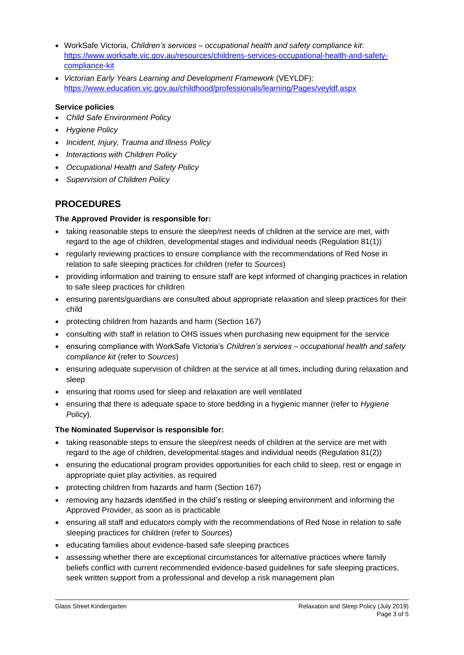- WorkSafe Victoria, *Children's services – occupational health and safety compliance kit*: [https://www.worksafe.vic.gov.au/resources/childrens-services-occupational-health-and-safety](https://www.worksafe.vic.gov.au/resources/childrens-services-occupational-health-and-safety-compliance-kit)[compliance-kit](https://www.worksafe.vic.gov.au/resources/childrens-services-occupational-health-and-safety-compliance-kit)
- *Victorian Early Years Learning and Development Framework* (VEYLDF): <https://www.education.vic.gov.au/childhood/professionals/learning/Pages/veyldf.aspx>

#### **Service policies**

- *Child Safe Environment Policy*
- *Hygiene Policy*
- *Incident, Injury, Trauma and Illness Policy*
- *Interactions with Children Policy*
- *Occupational Health and Safety Policy*
- *Supervision of Children Policy*

# **PROCEDURES**

#### **The Approved Provider is responsible for:**

- taking reasonable steps to ensure the sleep/rest needs of children at the service are met, with regard to the age of children, developmental stages and individual needs (Regulation 81(1))
- regularly reviewing practices to ensure compliance with the recommendations of Red Nose in relation to safe sleeping practices for children (refer to *Sources*)
- providing information and training to ensure staff are kept informed of changing practices in relation to safe sleep practices for children
- ensuring parents/guardians are consulted about appropriate relaxation and sleep practices for their child
- protecting children from hazards and harm (Section 167)
- consulting with staff in relation to OHS issues when purchasing new equipment for the service
- ensuring compliance with WorkSafe Victoria's *Children's services – occupational health and safety compliance kit* (refer to *Sources*)
- ensuring adequate supervision of children at the service at all times, including during relaxation and sleep
- ensuring that rooms used for sleep and relaxation are well ventilated
- ensuring that there is adequate space to store bedding in a hygienic manner (refer to *Hygiene Policy*).

#### **The Nominated Supervisor is responsible for:**

- taking reasonable steps to ensure the sleep/rest needs of children at the service are met with regard to the age of children, developmental stages and individual needs (Regulation 81(2))
- ensuring the educational program provides opportunities for each child to sleep, rest or engage in appropriate quiet play activities, as required
- protecting children from hazards and harm (Section 167)
- removing any hazards identified in the child's resting or sleeping environment and informing the Approved Provider, as soon as is practicable
- ensuring all staff and educators comply with the recommendations of Red Nose in relation to safe sleeping practices for children (refer to *Sources*)
- educating families about evidence-based safe sleeping practices
- assessing whether there are exceptional circumstances for alternative practices where family beliefs conflict with current recommended evidence-based guidelines for safe sleeping practices, seek written support from a professional and develop a risk management plan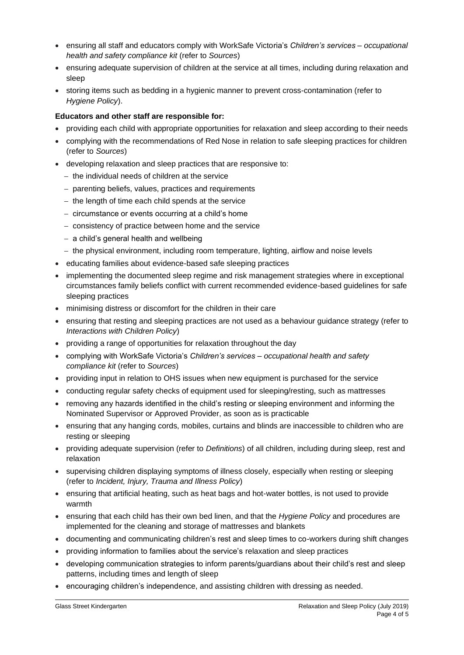- ensuring all staff and educators comply with WorkSafe Victoria's *Children's services – occupational health and safety compliance kit* (refer to *Sources*)
- ensuring adequate supervision of children at the service at all times, including during relaxation and sleep
- storing items such as bedding in a hygienic manner to prevent cross-contamination (refer to *Hygiene Policy*).

#### **Educators and other staff are responsible for:**

- providing each child with appropriate opportunities for relaxation and sleep according to their needs
- complying with the recommendations of Red Nose in relation to safe sleeping practices for children (refer to *Sources*)
- developing relaxation and sleep practices that are responsive to:
	- − the individual needs of children at the service
	- − parenting beliefs, values, practices and requirements
	- − the length of time each child spends at the service
	- − circumstance or events occurring at a child's home
	- − consistency of practice between home and the service
	- − a child's general health and wellbeing
	- − the physical environment, including room temperature, lighting, airflow and noise levels
- educating families about evidence-based safe sleeping practices
- implementing the documented sleep regime and risk management strategies where in exceptional circumstances family beliefs conflict with current recommended evidence-based guidelines for safe sleeping practices
- minimising distress or discomfort for the children in their care
- ensuring that resting and sleeping practices are not used as a behaviour guidance strategy (refer to *Interactions with Children Policy*)
- providing a range of opportunities for relaxation throughout the day
- complying with WorkSafe Victoria's *Children's services – occupational health and safety compliance kit* (refer to *Sources*)
- providing input in relation to OHS issues when new equipment is purchased for the service
- conducting regular safety checks of equipment used for sleeping/resting, such as mattresses
- removing any hazards identified in the child's resting or sleeping environment and informing the Nominated Supervisor or Approved Provider, as soon as is practicable
- ensuring that any hanging cords, mobiles, curtains and blinds are inaccessible to children who are resting or sleeping
- providing adequate supervision (refer to *Definitions*) of all children, including during sleep, rest and relaxation
- supervising children displaying symptoms of illness closely, especially when resting or sleeping (refer to *Incident, Injury, Trauma and Illness Policy*)
- ensuring that artificial heating, such as heat bags and hot-water bottles, is not used to provide warmth
- ensuring that each child has their own bed linen, and that the *Hygiene Policy* and procedures are implemented for the cleaning and storage of mattresses and blankets
- documenting and communicating children's rest and sleep times to co-workers during shift changes
- providing information to families about the service's relaxation and sleep practices
- developing communication strategies to inform parents/guardians about their child's rest and sleep patterns, including times and length of sleep
- encouraging children's independence, and assisting children with dressing as needed.